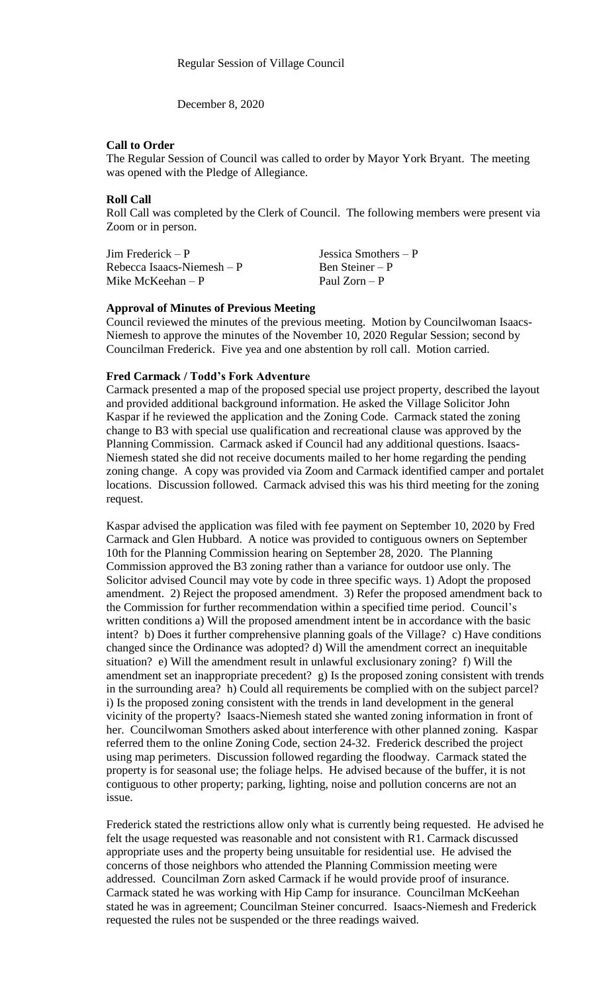December 8, 2020

### **Call to Order**

The Regular Session of Council was called to order by Mayor York Bryant. The meeting was opened with the Pledge of Allegiance.

## **Roll Call**

Roll Call was completed by the Clerk of Council. The following members were present via Zoom or in person.

| $\text{Jim Frederick} - \text{P}$ | Jessica Smothers $-P$ |
|-----------------------------------|-----------------------|
| Rebecca Isaacs-Niemesh $-P$       | Ben Steiner – P       |
| Mike McKeehan $-P$                | Paul $Zorn - P$       |

### **Approval of Minutes of Previous Meeting**

Council reviewed the minutes of the previous meeting. Motion by Councilwoman Isaacs-Niemesh to approve the minutes of the November 10, 2020 Regular Session; second by Councilman Frederick. Five yea and one abstention by roll call. Motion carried.

#### **Fred Carmack / Todd's Fork Adventure**

Carmack presented a map of the proposed special use project property, described the layout and provided additional background information. He asked the Village Solicitor John Kaspar if he reviewed the application and the Zoning Code. Carmack stated the zoning change to B3 with special use qualification and recreational clause was approved by the Planning Commission. Carmack asked if Council had any additional questions. Isaacs-Niemesh stated she did not receive documents mailed to her home regarding the pending zoning change. A copy was provided via Zoom and Carmack identified camper and portalet locations. Discussion followed. Carmack advised this was his third meeting for the zoning request.

Kaspar advised the application was filed with fee payment on September 10, 2020 by Fred Carmack and Glen Hubbard. A notice was provided to contiguous owners on September 10th for the Planning Commission hearing on September 28, 2020. The Planning Commission approved the B3 zoning rather than a variance for outdoor use only. The Solicitor advised Council may vote by code in three specific ways. 1) Adopt the proposed amendment. 2) Reject the proposed amendment. 3) Refer the proposed amendment back to the Commission for further recommendation within a specified time period. Council's written conditions a) Will the proposed amendment intent be in accordance with the basic intent? b) Does it further comprehensive planning goals of the Village? c) Have conditions changed since the Ordinance was adopted? d) Will the amendment correct an inequitable situation? e) Will the amendment result in unlawful exclusionary zoning? f) Will the amendment set an inappropriate precedent? g) Is the proposed zoning consistent with trends in the surrounding area? h) Could all requirements be complied with on the subject parcel? i) Is the proposed zoning consistent with the trends in land development in the general vicinity of the property? Isaacs-Niemesh stated she wanted zoning information in front of her. Councilwoman Smothers asked about interference with other planned zoning. Kaspar referred them to the online Zoning Code, section 24-32. Frederick described the project using map perimeters. Discussion followed regarding the floodway. Carmack stated the property is for seasonal use; the foliage helps. He advised because of the buffer, it is not contiguous to other property; parking, lighting, noise and pollution concerns are not an issue.

Frederick stated the restrictions allow only what is currently being requested. He advised he felt the usage requested was reasonable and not consistent with R1. Carmack discussed appropriate uses and the property being unsuitable for residential use. He advised the concerns of those neighbors who attended the Planning Commission meeting were addressed. Councilman Zorn asked Carmack if he would provide proof of insurance. Carmack stated he was working with Hip Camp for insurance. Councilman McKeehan stated he was in agreement; Councilman Steiner concurred. Isaacs-Niemesh and Frederick requested the rules not be suspended or the three readings waived.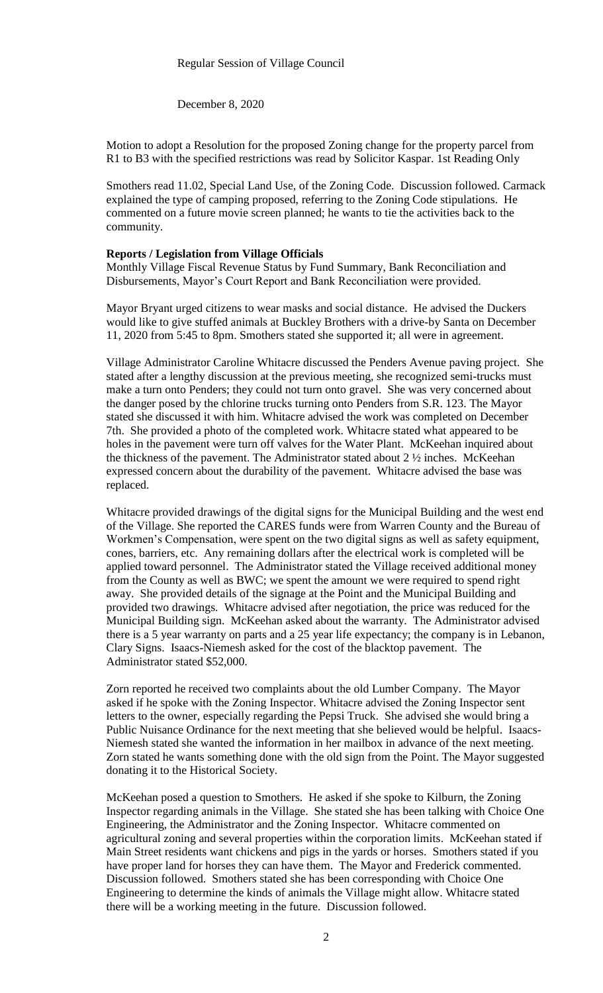December 8, 2020

Motion to adopt a Resolution for the proposed Zoning change for the property parcel from R1 to B3 with the specified restrictions was read by Solicitor Kaspar. 1st Reading Only

Smothers read 11.02, Special Land Use, of the Zoning Code. Discussion followed. Carmack explained the type of camping proposed, referring to the Zoning Code stipulations. He commented on a future movie screen planned; he wants to tie the activities back to the community.

#### **Reports / Legislation from Village Officials**

Monthly Village Fiscal Revenue Status by Fund Summary, Bank Reconciliation and Disbursements, Mayor's Court Report and Bank Reconciliation were provided.

Mayor Bryant urged citizens to wear masks and social distance. He advised the Duckers would like to give stuffed animals at Buckley Brothers with a drive-by Santa on December 11, 2020 from 5:45 to 8pm. Smothers stated she supported it; all were in agreement.

Village Administrator Caroline Whitacre discussed the Penders Avenue paving project. She stated after a lengthy discussion at the previous meeting, she recognized semi-trucks must make a turn onto Penders; they could not turn onto gravel. She was very concerned about the danger posed by the chlorine trucks turning onto Penders from S.R. 123. The Mayor stated she discussed it with him. Whitacre advised the work was completed on December 7th. She provided a photo of the completed work. Whitacre stated what appeared to be holes in the pavement were turn off valves for the Water Plant. McKeehan inquired about the thickness of the pavement. The Administrator stated about 2 ½ inches. McKeehan expressed concern about the durability of the pavement. Whitacre advised the base was replaced.

Whitacre provided drawings of the digital signs for the Municipal Building and the west end of the Village. She reported the CARES funds were from Warren County and the Bureau of Workmen's Compensation, were spent on the two digital signs as well as safety equipment, cones, barriers, etc. Any remaining dollars after the electrical work is completed will be applied toward personnel. The Administrator stated the Village received additional money from the County as well as BWC; we spent the amount we were required to spend right away. She provided details of the signage at the Point and the Municipal Building and provided two drawings. Whitacre advised after negotiation, the price was reduced for the Municipal Building sign. McKeehan asked about the warranty. The Administrator advised there is a 5 year warranty on parts and a 25 year life expectancy; the company is in Lebanon, Clary Signs. Isaacs-Niemesh asked for the cost of the blacktop pavement. The Administrator stated \$52,000.

Zorn reported he received two complaints about the old Lumber Company. The Mayor asked if he spoke with the Zoning Inspector. Whitacre advised the Zoning Inspector sent letters to the owner, especially regarding the Pepsi Truck. She advised she would bring a Public Nuisance Ordinance for the next meeting that she believed would be helpful. Isaacs-Niemesh stated she wanted the information in her mailbox in advance of the next meeting. Zorn stated he wants something done with the old sign from the Point. The Mayor suggested donating it to the Historical Society.

McKeehan posed a question to Smothers. He asked if she spoke to Kilburn, the Zoning Inspector regarding animals in the Village. She stated she has been talking with Choice One Engineering, the Administrator and the Zoning Inspector. Whitacre commented on agricultural zoning and several properties within the corporation limits. McKeehan stated if Main Street residents want chickens and pigs in the yards or horses. Smothers stated if you have proper land for horses they can have them. The Mayor and Frederick commented. Discussion followed. Smothers stated she has been corresponding with Choice One Engineering to determine the kinds of animals the Village might allow. Whitacre stated there will be a working meeting in the future. Discussion followed.